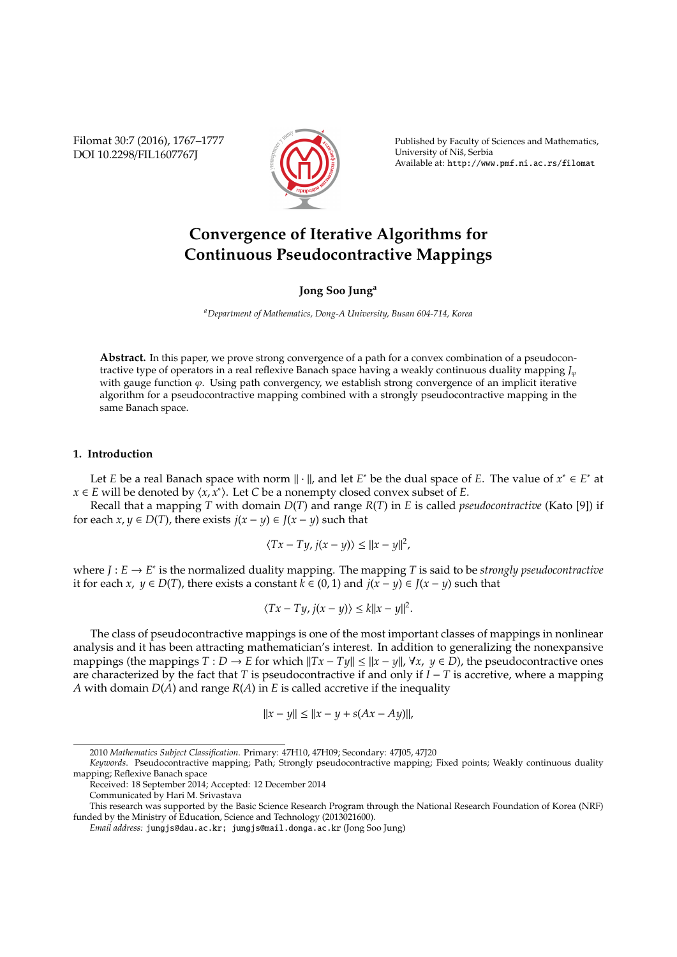Filomat 30:7 (2016), 1767–1777 DOI 10.2298/FIL1607767J



Published by Faculty of Sciences and Mathematics, University of Niš, Serbia Available at: http://www.pmf.ni.ac.rs/filomat

# **Convergence of Iterative Algorithms for Continuous Pseudocontractive Mappings**

### **Jong Soo Jung<sup>a</sup>**

*<sup>a</sup>Department of Mathematics, Dong-A University, Busan 604-714, Korea*

**Abstract.** In this paper, we prove strong convergence of a path for a convex combination of a pseudocontractive type of operators in a real reflexive Banach space having a weakly continuous duality mapping *J*<sub>*v*</sub> with gauge function  $\varphi$ . Using path convergency, we establish strong convergence of an implicit iterative algorithm for a pseudocontractive mapping combined with a strongly pseudocontractive mapping in the same Banach space.

## **1. Introduction**

Let *E* be a real Banach space with norm  $\|\cdot\|$ , and let *E*<sup>\*</sup> be the dual space of *E*. The value of  $x^* \in E^*$  at *x* ∈ *E* will be denoted by  $\langle x, x^* \rangle$ . Let *C* be a nonempty closed convex subset of *E*.

Recall that a mapping *T* with domain *D*(*T*) and range *R*(*T*) in *E* is called *pseudocontractive* (Kato [9]) if for each  $x, y \in D(T)$ , there exists  $j(x - y) \in J(x - y)$  such that

$$
\langle Tx - Ty, j(x - y) \rangle \le ||x - y||^2,
$$

where *J* : *E* → *E* ∗ is the normalized duality mapping. The mapping *T* is said to be *strongly pseudocontractive* it for each *x*, *y* ∈ *D*(*T*), there exists a constant  $k$  ∈ (0, 1) and  $j(x - y)$  ∈  $J(x - y)$  such that

$$
\langle Tx - Ty, j(x - y) \rangle \le k ||x - y||^2.
$$

The class of pseudocontractive mappings is one of the most important classes of mappings in nonlinear analysis and it has been attracting mathematician's interest. In addition to generalizing the nonexpansive mappings (the mappings  $T: D \to E$  for which  $||Tx - Ty|| \le ||x - y||$ ,  $\forall x, y \in D$ ), the pseudocontractive ones are characterized by the fact that *T* is pseudocontractive if and only if *I* − *T* is accretive, where a mapping *A* with domain *D*(*A*) and range *R*(*A*) in *E* is called accretive if the inequality

$$
||x - y|| \le ||x - y + s(Ax - Ay)||,
$$

<sup>2010</sup> *Mathematics Subject Classification*. Primary: 47H10, 47H09; Secondary: 47J05, 47J20

*Keywords*. Pseudocontractive mapping; Path; Strongly pseudocontractive mapping; Fixed points; Weakly continuous duality mapping; Reflexive Banach space

Received: 18 September 2014; Accepted: 12 December 2014

Communicated by Hari M. Srivastava

This research was supported by the Basic Science Research Program through the National Research Foundation of Korea (NRF) funded by the Ministry of Education, Science and Technology (2013021600).

*Email address:* jungjs@dau.ac.kr; jungjs@mail.donga.ac.kr (Jong Soo Jung)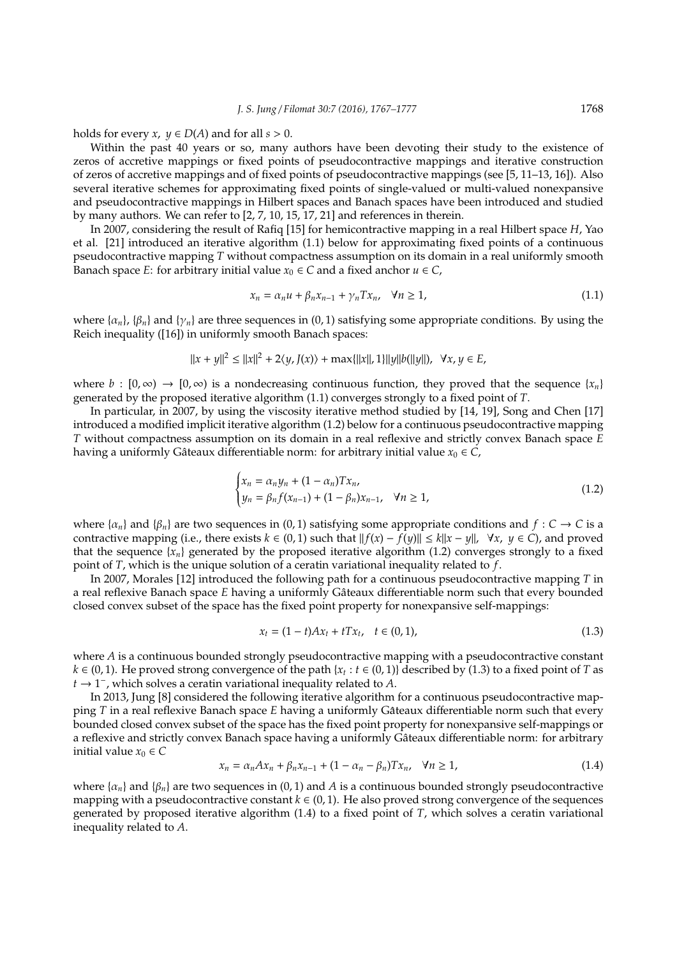holds for every *x*,  $y \in D(A)$  and for all  $s > 0$ .

Within the past 40 years or so, many authors have been devoting their study to the existence of zeros of accretive mappings or fixed points of pseudocontractive mappings and iterative construction of zeros of accretive mappings and of fixed points of pseudocontractive mappings (see [5, 11–13, 16]). Also several iterative schemes for approximating fixed points of single-valued or multi-valued nonexpansive and pseudocontractive mappings in Hilbert spaces and Banach spaces have been introduced and studied by many authors. We can refer to [2, 7, 10, 15, 17, 21] and references in therein.

In 2007, considering the result of Rafiq [15] for hemicontractive mapping in a real Hilbert space *H*, Yao et al. [21] introduced an iterative algorithm (1.1) below for approximating fixed points of a continuous pseudocontractive mapping *T* without compactness assumption on its domain in a real uniformly smooth Banach space *E*: for arbitrary initial value  $x_0 \in C$  and a fixed anchor  $u \in C$ ,

$$
x_n = \alpha_n u + \beta_n x_{n-1} + \gamma_n T x_n, \quad \forall n \ge 1,
$$
\n(1.1)

where  $\{\alpha_n\}$ ,  $\{\beta_n\}$  and  $\{\gamma_n\}$  are three sequences in (0, 1) satisfying some appropriate conditions. By using the Reich inequality ([16]) in uniformly smooth Banach spaces:

$$
||x + y||^2 \le ||x||^2 + 2\langle y, J(x) \rangle + \max\{||x||, 1\}||y||b(||y||), \ \forall x, y \in E,
$$

where  $b : [0, \infty) \to [0, \infty)$  is a nondecreasing continuous function, they proved that the sequence  $\{x_n\}$ generated by the proposed iterative algorithm (1.1) converges strongly to a fixed point of *T*.

In particular, in 2007, by using the viscosity iterative method studied by [14, 19], Song and Chen [17] introduced a modified implicit iterative algorithm (1.2) below for a continuous pseudocontractive mapping *T* without compactness assumption on its domain in a real reflexive and strictly convex Banach space *E* having a uniformly Gâteaux differentiable norm: for arbitrary initial value  $x_0 \in C$ ,

$$
\begin{cases} x_n = \alpha_n y_n + (1 - \alpha_n) T x_n, \\ y_n = \beta_n f(x_{n-1}) + (1 - \beta_n) x_{n-1}, \quad \forall n \ge 1, \end{cases}
$$
 (1.2)

where  $\{\alpha_n\}$  and  $\{\beta_n\}$  are two sequences in (0, 1) satisfying some appropriate conditions and  $f: C \to C$  is a contractive mapping (i.e., there exists  $k \in (0,1)$  such that  $||f(x) - f(y)|| \le k||x - y||$ ,  $\forall x, y \in C$ ), and proved that the sequence  $\{x_n\}$  generated by the proposed iterative algorithm (1.2) converges strongly to a fixed point of *T*, which is the unique solution of a ceratin variational inequality related to *f*.

In 2007, Morales [12] introduced the following path for a continuous pseudocontractive mapping *T* in a real reflexive Banach space *E* having a uniformly Gâteaux differentiable norm such that every bounded closed convex subset of the space has the fixed point property for nonexpansive self-mappings:

$$
x_t = (1 - t)Ax_t + tTx_t, \quad t \in (0, 1), \tag{1.3}
$$

where *A* is a continuous bounded strongly pseudocontractive mapping with a pseudocontractive constant  $k \in (0, 1)$ . He proved strong convergence of the path {*x<sub>t</sub>* : *t* ∈ (0, 1)} described by (1.3) to a fixed point of *T* as *t* → 1 − , which solves a ceratin variational inequality related to *A*.

In 2013, Jung [8] considered the following iterative algorithm for a continuous pseudocontractive mapping *T* in a real reflexive Banach space *E* having a uniformly Gâteaux differentiable norm such that every bounded closed convex subset of the space has the fixed point property for nonexpansive self-mappings or a reflexive and strictly convex Banach space having a uniformly Gâteaux differentiable norm: for arbitrary initial value  $x_0 \in C$ 

$$
x_n = \alpha_n A x_n + \beta_n x_{n-1} + (1 - \alpha_n - \beta_n) T x_n, \quad \forall n \ge 1,
$$
\n(1.4)

where  $\{\alpha_n\}$  and  $\{\beta_n\}$  are two sequences in (0, 1) and *A* is a continuous bounded strongly pseudocontractive mapping with a pseudocontractive constant  $k \in (0, 1)$ . He also proved strong convergence of the sequences generated by proposed iterative algorithm (1.4) to a fixed point of *T*, which solves a ceratin variational inequality related to *A*.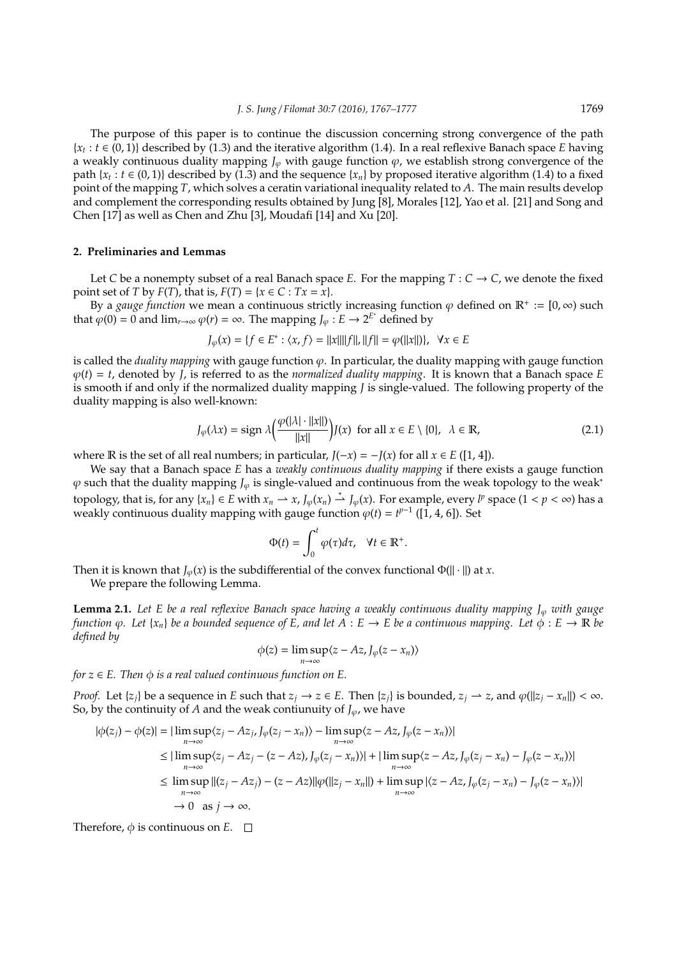The purpose of this paper is to continue the discussion concerning strong convergence of the path {*xt* : *t* ∈ (0, 1)} described by (1.3) and the iterative algorithm (1.4). In a real reflexive Banach space *E* having a weakly continuous duality mapping  $J_\varphi$  with gauge function  $\varphi$ , we establish strong convergence of the path  $\{x_t : t \in (0,1)\}$  described by (1.3) and the sequence  $\{x_n\}$  by proposed iterative algorithm (1.4) to a fixed point of the mapping *T*, which solves a ceratin variational inequality related to *A*. The main results develop and complement the corresponding results obtained by Jung [8], Morales [12], Yao et al. [21] and Song and Chen [17] as well as Chen and Zhu [3], Moudafi [14] and Xu [20].

#### **2. Preliminaries and Lemmas**

Let *C* be a nonempty subset of a real Banach space *E*. For the mapping  $T: C \to C$ , we denote the fixed point set of *T* by *F*(*T*), that is, *F*(*T*) = { $x \in C : Tx = x$ }.

By a *gauge function* we mean a continuous strictly increasing function  $\varphi$  defined on  $\mathbb{R}^+ := [0, \infty)$  such that  $\varphi(0) = 0$  and  $\lim_{r\to\infty} \varphi(r) = \infty$ . The mapping  $J_{\varphi}: E \to 2^{E^*}$  defined by

$$
J_{\varphi}(x) = \{ f \in E^* : \langle x, f \rangle = ||x|| ||f||, ||f|| = \varphi(||x||) \}, \ \forall x \in E
$$

is called the *duality mapping* with gauge function ϕ. In particular, the duality mapping with gauge function  $\varphi(t) = t$ , denoted by *J*, is referred to as the *normalized duality mapping*. It is known that a Banach space *E* is smooth if and only if the normalized duality mapping *J* is single-valued. The following property of the duality mapping is also well-known:

$$
J_{\varphi}(\lambda x) = \text{sign } \lambda \left( \frac{\varphi(|\lambda| \cdot ||x||)}{||x||} \right) J(x) \text{ for all } x \in E \setminus \{0\}, \ \lambda \in \mathbb{R}, \tag{2.1}
$$

where  $\mathbb R$  is the set of all real numbers; in particular,  $J(-x) = -J(x)$  for all  $x \in E([1, 4])$ .

We say that a Banach space *E* has a *weakly continuous duality mapping* if there exists a gauge function  $\varphi$  such that the duality mapping *J*<sub> $\varphi$ </sub> is single-valued and continuous from the weak topology to the weak<sup>∗</sup> topology, that is, for any  $\{x_n\} \in E$  with  $x_n \to x$ ,  $J_\varphi(x_n) \stackrel{*}{\rightharpoonup} J_\varphi(x)$ . For example, every  $l^p$  space  $(1 < p < \infty)$  has a weakly continuous duality mapping with gauge function  $\varphi(t) = t^{p-1}$  ([1, 4, 6]). Set

$$
\Phi(t) = \int_0^t \varphi(\tau) d\tau, \quad \forall t \in \mathbb{R}^+.
$$

Then it is known that  $J_{\varphi}(x)$  is the subdifferential of the convex functional  $\Phi(||\cdot||)$  at *x*.

We prepare the following Lemma.

**Lemma 2.1.** Let E be a real reflexive Banach space having a weakly continuous duality mapping J<sub>∞</sub> with gauge *function*  $\varphi$ *. Let*  $\{x_n\}$  *be a bounded sequence of E, and let*  $A : E \to E$  *be a continuous mapping. Let*  $\varphi : E \to \mathbb{R}$  *be defined by*

$$
\phi(z) = \limsup_{n \to \infty} \langle z - Az, J_{\varphi}(z - x_n) \rangle
$$

*for*  $z \in E$ . *Then*  $\phi$  *is a real valued continuous function on*  $E$ .

*Proof.* Let  $\{z_i\}$  be a sequence in E such that  $z_i \to z \in E$ . Then  $\{z_i\}$  is bounded,  $z_i \to z$ , and  $\varphi(\|z_i - x_n\|) < \infty$ . So, by the continuity of *A* and the weak contiunuity of  $J_{\varphi}$ , we have

$$
|\phi(z_j) - \phi(z)| = |\limsup_{n \to \infty} \langle z_j - Az_j, J_{\varphi}(z_j - x_n) \rangle - \limsup_{n \to \infty} \langle z - Az, J_{\varphi}(z - x_n) \rangle|
$$
  
\n
$$
\leq |\limsup_{n \to \infty} \langle z_j - Az_j - (z - Az), J_{\varphi}(z_j - x_n) \rangle| + |\limsup_{n \to \infty} \langle z - Az, J_{\varphi}(z_j - x_n) - J_{\varphi}(z - x_n) \rangle|
$$
  
\n
$$
\leq \limsup_{n \to \infty} ||(z_j - Az_j) - (z - Az)||\varphi(||z_j - x_n||) + \limsup_{n \to \infty} |\langle z - Az, J_{\varphi}(z_j - x_n) - J_{\varphi}(z - x_n) \rangle|
$$
  
\n
$$
\to 0 \text{ as } j \to \infty.
$$

Therefore,  $\phi$  is continuous on *E*.  $\square$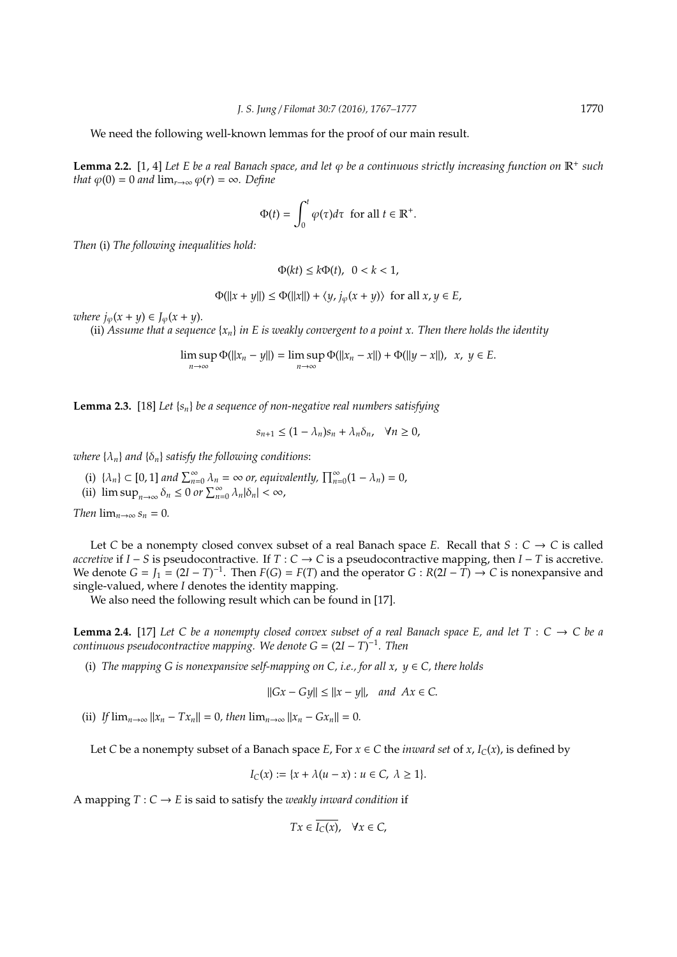We need the following well-known lemmas for the proof of our main result.

**Lemma 2.2.** [1, 4] Let *E* be a real Banach space, and let *φ* be a continuous strictly increasing function on R<sup>+</sup> such *that*  $\varphi(0) = 0$  *and*  $\lim_{r \to \infty} \varphi(r) = \infty$ *. Define* 

$$
\Phi(t) = \int_0^t \varphi(\tau) d\tau \text{ for all } t \in \mathbb{R}^+.
$$

*Then* (i) *The following inequalities hold:*

$$
\Phi(kt) \le k\Phi(t), \ \ 0 < k < 1,
$$

 $\Phi(||x + y||) \leq \Phi(||x||) + \langle y, j_{\varphi}(x + y) \rangle$  for all  $x, y \in E$ ,

*where*  $j_{\varphi}(x + y) \in J_{\varphi}(x + y)$ .

(ii) Assume that a sequence  $\{x_n\}$  in E is weakly convergent to a point x. Then there holds the identity

$$
\limsup_{n\to\infty}\Phi(||x_n-y||)=\limsup_{n\to\infty}\Phi(||x_n-x||)+\Phi(||y-x||), \ \ x, \ y\in E.
$$

**Lemma 2.3.** [18] *Let* {*sn*} *be a sequence of non-negative real numbers satisfying*

$$
s_{n+1} \le (1 - \lambda_n)s_n + \lambda_n \delta_n, \quad \forall n \ge 0,
$$

*where*  $\{\lambda_n\}$  *and*  $\{\delta_n\}$  *satisfy the following conditions:* 

- (i)  $\{\lambda_n\} \subset [0, 1]$  *and*  $\sum_{n=0}^{\infty} \lambda_n = \infty$  *or, equivalently,*  $\prod_{n=0}^{\infty} (1 \lambda_n) = 0$ ,
- (ii)  $\limsup_{n\to\infty} \delta_n \leq 0$  *or*  $\sum_{n=0}^{\infty} \lambda_n |\delta_n| < \infty$ ,

*Then*  $\lim_{n\to\infty} s_n = 0$ .

Let *C* be a nonempty closed convex subset of a real Banach space *E*. Recall that  $S: C \rightarrow C$  is called *accretive* if *I* − *S* is pseudocontractive. If *T* : *C* → *C* is a pseudocontractive mapping, then *I* − *T* is accretive. We denote  $G = J_1 = (2I - T)^{-1}$ . Then  $F(G) = F(T)$  and the operator  $G : R(2I - T) \to C$  is nonexpansive and single-valued, where *I* denotes the identity mapping.

We also need the following result which can be found in [17].

**Lemma 2.4.** [17] Let C be a nonempty closed convex subset of a real Banach space E, and let  $T : C \to C$  be a *continuous pseudocontractive mapping. We denote G* = (2*I* − *T*) −1 *. Then*

(i) *The mapping G is nonexpansive self-mapping on C, i.e., for all x,*  $y \in C$ *, there holds* 

$$
||Gx - Gy|| \le ||x - y||, \text{ and } Ax \in C.
$$

(ii) *If*  $\lim_{n\to\infty} ||x_n - Tx_n|| = 0$ , then  $\lim_{n\to\infty} ||x_n - Gx_n|| = 0$ .

Let *C* be a nonempty subset of a Banach space *E*, For  $x \in C$  the *inward set* of *x*, *I<sub>C</sub>*(*x*), is defined by

$$
I_C(x) := \{x + \lambda(u - x) : u \in C, \ \lambda \ge 1\}.
$$

A mapping  $T: C \to E$  is said to satisfy the *weakly inward condition* if

$$
Tx \in \overline{I_C(x)}, \quad \forall x \in C,
$$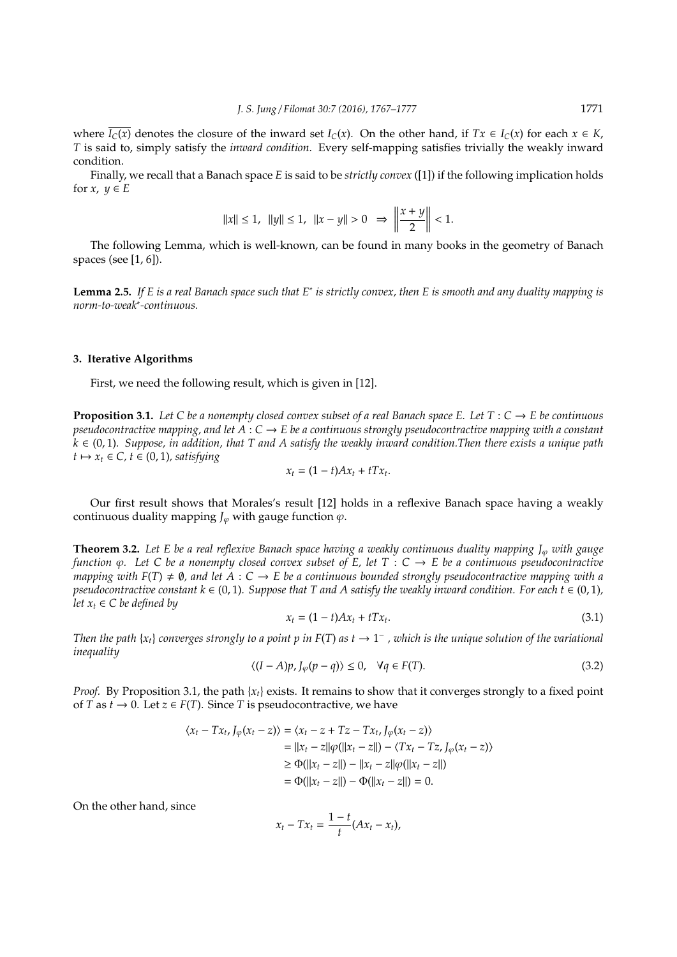where  $\overline{I_C(x)}$  denotes the closure of the inward set  $I_C(x)$ . On the other hand, if  $Tx \in I_C(x)$  for each  $x \in K$ , *T* is said to, simply satisfy the *inward condition*. Every self-mapping satisfies trivially the weakly inward condition.

Finally, we recall that a Banach space *E* is said to be *strictly convex* ([1]) if the following implication holds for  $x, y \in E$ 

$$
||x|| \le 1
$$
,  $||y|| \le 1$ ,  $||x - y|| > 0$   $\Rightarrow$   $\left|\frac{x + y}{2}\right| < 1$ .

The following Lemma, which is well-known, can be found in many books in the geometry of Banach spaces (see [1, 6]).

**Lemma 2.5.** *If E is a real Banach space such that E*<sup>∗</sup> *is strictly convex, then E is smooth and any duality mapping is norm-to-weak*<sup>∗</sup> *-continuous.*

#### **3. Iterative Algorithms**

First, we need the following result, which is given in [12].

**Proposition 3.1.** Let C be a nonempty closed convex subset of a real Banach space E. Let  $T: C \to E$  be continuous *pseudocontractive mapping, and let*  $A : C \to E$  *be a continuous strongly pseudocontractive mapping with a constant k* ∈ (0, 1)*. Suppose, in addition, that T and A satisfy the weakly inward condition.Then there exists a unique path*  $t \mapsto x_t \in C$ ,  $t \in (0, 1)$ *, satisfying* 

$$
x_t = (1-t)Ax_t + tTx_t.
$$

Our first result shows that Morales's result [12] holds in a reflexive Banach space having a weakly continuous duality mapping  $J_{\varphi}$  with gauge function  $\varphi$ .

**Theorem 3.2.** *Let E be a real reflexive Banach space having a weakly continuous duality mapping J*<sub> $\omega$ </sub> *with gauge function* ϕ*. Let C be a nonempty closed convex subset of E, let T* : *C* → *E be a continuous pseudocontractive mapping with*  $F(T) \neq \emptyset$ , and let  $A : C \to E$  be a continuous bounded strongly pseudocontractive mapping with a *pseudocontractive constant*  $k \in (0, 1)$ *. Suppose that* T and A satisfy the weakly inward condition. For each t  $\in (0, 1)$ *, let*  $x_t \in C$  *be defined by* 

$$
x_t = (1 - t)Ax_t + tTx_t.
$$
\n
$$
(3.1)
$$

*Then the path*  $\{x_t\}$  *converges strongly to a point p in*  $F(T)$  *as t*  $\to 1^-$  *, which is the unique solution of the variational inequality*

$$
\langle (I - A)p, J_{\varphi}(p - q) \rangle \le 0, \quad \forall q \in F(T). \tag{3.2}
$$

*Proof.* By Proposition 3.1, the path  $\{x_t\}$  exists. It remains to show that it converges strongly to a fixed point of *T* as  $t \to 0$ . Let  $z \in F(T)$ . Since *T* is pseudocontractive, we have

$$
\langle x_t - Tx_t, J_{\varphi}(x_t - z) \rangle = \langle x_t - z + Tz - Tx_t, J_{\varphi}(x_t - z) \rangle
$$
  
=  $||x_t - z||\varphi(||x_t - z||) - \langle Tx_t - Tz, J_{\varphi}(x_t - z) \rangle$   
 $\ge \Phi(||x_t - z||) - ||x_t - z||\varphi(||x_t - z||)$   
=  $\Phi(||x_t - z||) - \Phi(||x_t - z||) = 0.$ 

On the other hand, since

$$
x_t - Tx_t = \frac{1-t}{t}(Ax_t - x_t),
$$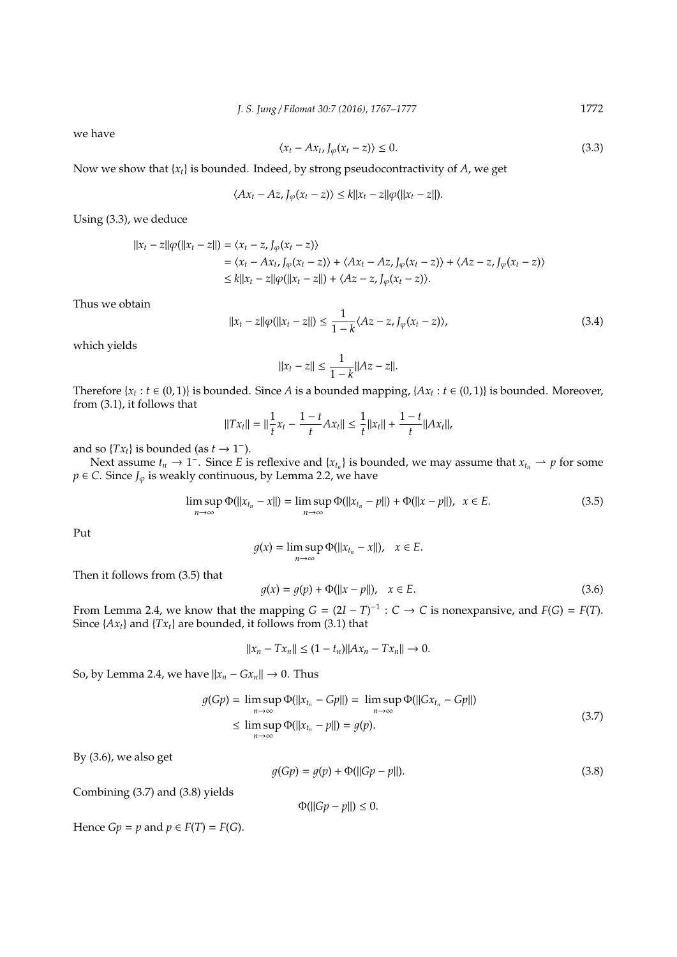we have

$$
\langle x_t - Ax_t, J_\varphi(x_t - z) \rangle \le 0. \tag{3.3}
$$

Now we show that {*xt*} is bounded. Indeed, by strong pseudocontractivity of *A*, we get

$$
\langle Ax_t - Az, J_{\varphi}(x_t - z) \rangle \le k ||x_t - z|| \varphi(||x_t - z||).
$$

Using (3.3), we deduce

$$
\begin{aligned} ||x_t - z||\varphi(||x_t - z||) &= \langle x_t - z, J_\varphi(x_t - z) \rangle \\ &= \langle x_t - Ax_t, J_\varphi(x_t - z) \rangle + \langle Ax_t - Az, J_\varphi(x_t - z) \rangle + \langle Az - z, J_\varphi(x_t - z) \rangle \\ &\le k||x_t - z||\varphi(||x_t - z||) + \langle Az - z, J_\varphi(x_t - z) \rangle. \end{aligned}
$$

Thus we obtain

$$
||x_t - z||\varphi(||x_t - z||) \le \frac{1}{1 - k} \langle Az - z, J_\varphi(x_t - z) \rangle,\tag{3.4}
$$

which yields

$$
||x_t - z|| \le \frac{1}{1 - k} ||Az - z||.
$$

Therefore { $x_t : t \in (0, 1)$ } is bounded. Since *A* is a bounded mapping, { $Ax_t : t \in (0, 1)$ } is bounded. Moreover, from (3.1), it follows that

$$
||Tx_t|| = ||\frac{1}{t}x_t - \frac{1-t}{t}Ax_t|| \le \frac{1}{t}||x_t|| + \frac{1-t}{t}||Ax_t||,
$$

and so  $\{Tx_t\}$  is bounded (as  $t \to 1^-$ ).

Next assume  $t_n \to 1^-$ . Since *E* is reflexive and  $\{x_{t_n}\}\$ is bounded, we may assume that  $x_{t_n} \to p$  for some *p* ∈ *C*. Since *J*<sup> $\varphi$ </sup> is weakly continuous, by Lemma 2.2, we have

$$
\limsup_{n \to \infty} \Phi(||x_{t_n} - x||) = \limsup_{n \to \infty} \Phi(||x_{t_n} - p||) + \Phi(||x - p||), \ \ x \in E. \tag{3.5}
$$

Put

$$
g(x) = \limsup_{n \to \infty} \Phi(||x_{t_n} - x||), \quad x \in E.
$$

Then it follows from (3.5) that

$$
g(x) = g(p) + \Phi(||x - p||), \quad x \in E.
$$
 (3.6)

From Lemma 2.4, we know that the mapping  $G = (2I - T)^{-1} : C \to C$  is nonexpansive, and  $F(G) = F(T)$ . Since  $\{Ax_t\}$  and  $\{Tx_t\}$  are bounded, it follows from (3.1) that

$$
||x_n - Tx_n|| \le (1 - t_n) ||Ax_n - Tx_n|| \to 0.
$$

So, by Lemma 2.4, we have  $||x_n - Gx_n|| \to 0$ . Thus

$$
g(Gp) = \limsup_{n \to \infty} \Phi(||x_{t_n} - Gp||) = \limsup_{n \to \infty} \Phi(||Gx_{t_n} - Gp||)
$$
  
\n
$$
\leq \limsup_{n \to \infty} \Phi(||x_{t_n} - p||) = g(p).
$$
\n(3.7)

By (3.6), we also get

$$
g(Gp) = g(p) + \Phi(||Gp - p||). \tag{3.8}
$$

Combining (3.7) and (3.8) yields

 $\Phi(||Gp - p||) \leq 0.$ 

Hence  $Gp = p$  and  $p \in F(T) = F(G)$ .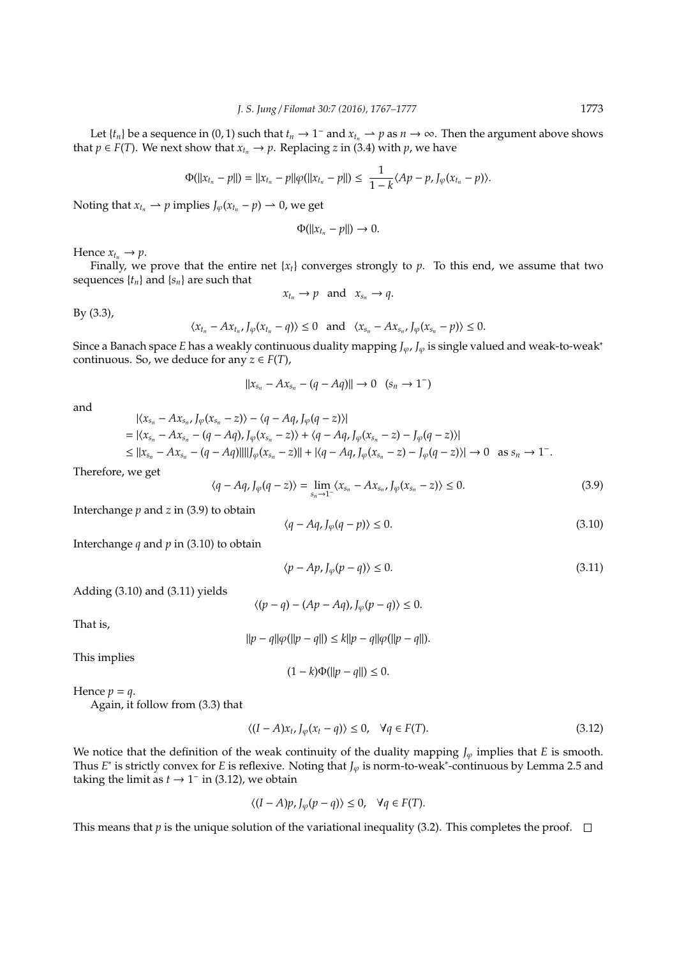Let  $\{t_n\}$  be a sequence in  $(0, 1)$  such that  $t_n \to 1^-$  and  $x_{t_n} \to p$  as  $n \to \infty$ . Then the argument above shows that *p*  $\in$  *F*(*T*). We next show that  $x_{t_n}$   $\rightarrow$  *p*. Replacing *z* in (3.4) with *p*, we have

$$
\Phi(||x_{t_n}-p||)=||x_{t_n}-p||\varphi(||x_{t_n}-p||)\leq \frac{1}{1-k}\langle Ap-p, J_{\varphi}(x_{t_n}-p)\rangle.
$$

Noting that  $x_t$   $\rightarrow$  *p* implies  $J_\omega(x_t - p) \rightarrow 0$ , we get

$$
\Phi(||x_{t_n}-p||)\to 0.
$$

Hence  $x_{t_n} \rightarrow p$ .

Finally, we prove that the entire net  $\{x_t\}$  converges strongly to  $p$ . To this end, we assume that two sequences  $\{t_n\}$  and  $\{s_n\}$  are such that

$$
x_{t_n} \to p \quad \text{and} \quad x_{s_n} \to q.
$$

By (3.3),

$$
\langle x_{t_n}-Ax_{t_n},J_\varphi(x_{t_n}-q)\rangle\leq 0 \text{ and } \langle x_{s_n}-Ax_{s_n},J_\varphi(x_{s_n}-p)\rangle\leq 0.
$$

Since a Banach space *E* has a weakly continuous duality mapping *J*ϕ, *J*<sup>ϕ</sup> is single valued and weak-to-weak<sup>∗</sup> continuous. So, we deduce for any  $z \in F(T)$ ,

$$
||x_{s_n} - Ax_{s_n} - (q - Aq)|| \to 0 \quad (s_n \to 1^-)
$$

and

$$
|\langle x_{s_n} - Ax_{s_n}, J_\varphi(x_{s_n} - z) \rangle - \langle q - Aq, J_\varphi(q - z) \rangle|
$$
  
=  $|\langle x_{s_n} - Ax_{s_n} - (q - Aq), J_\varphi(x_{s_n} - z) \rangle + \langle q - Aq, J_\varphi(x_{s_n} - z) - J_\varphi(q - z) \rangle|$   
 $\leq ||x_{s_n} - Ax_{s_n} - (q - Aq)|| ||J_\varphi(x_{s_n} - z)|| + |\langle q - Aq, J_\varphi(x_{s_n} - z) - J_\varphi(q - z) \rangle| \to 0 \text{ as } s_n \to 1^-.$ 

Therefore, we get

$$
\langle q - Aq, J_{\varphi}(q - z) \rangle = \lim_{s_n \to 1^-} \langle x_{s_n} - Ax_{s_n}, J_{\varphi}(x_{s_n} - z) \rangle \le 0.
$$
 (3.9)

Interchange *p* and *z* in (3.9) to obtain

$$
\langle q - Aq, J_{\varphi}(q - p) \rangle \le 0. \tag{3.10}
$$

Interchange *q* and *p* in (3.10) to obtain

$$
\langle p - Ap, J_{\varphi}(p - q) \rangle \le 0. \tag{3.11}
$$

Adding (3.10) and (3.11) yields

 $\langle (p-q) - (Ap - Aq), J_{\varphi}(p-q) \rangle \leq 0.$ 

That is,

$$
||p - q||\varphi(||p - q||) \le k||p - q||\varphi(||p - q||).
$$

This implies

 $(1 - k)\Phi(||p - q||) \leq 0.$ 

Hence  $p = q$ .

Again, it follow from (3.3) that

$$
\langle (I - A)\mathbf{x}_t, J_\varphi(\mathbf{x}_t - q) \rangle \le 0, \quad \forall q \in F(T). \tag{3.12}
$$

We notice that the definition of the weak continuity of the duality mapping  $J_{\varphi}$  implies that *E* is smooth. Thus *E*<sup>\*</sup> is strictly convex for *E* is reflexive. Noting that *J*<sub> $\varphi$ </sub> is norm-to-weak<sup>\*</sup>-continuous by Lemma 2.5 and taking the limit as  $t \to 1^-$  in (3.12), we obtain

$$
\langle (I - A)p, J_{\varphi}(p - q) \rangle \le 0, \quad \forall q \in F(T).
$$

This means that *p* is the unique solution of the variational inequality (3.2). This completes the proof.  $\Box$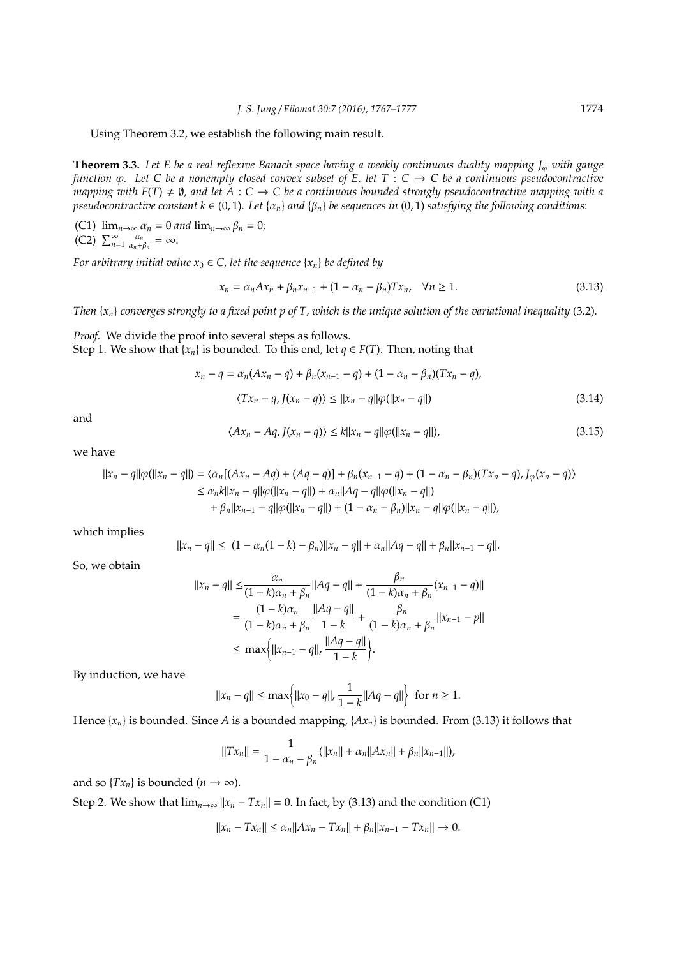Using Theorem 3.2, we establish the following main result.

**Theorem 3.3.** Let E be a real reflexive Banach space having a weakly continuous duality mapping J<sub> $\varphi$ </sub> with gauge *function* ϕ*. Let C be a nonempty closed convex subset of E, let T* : *C* → *C be a continuous pseudocontractive mapping with*  $F(T) \neq \emptyset$ , and let  $A : C \to C$  be a continuous bounded strongly pseudocontractive mapping with a *pseudocontractive constant*  $k \in (0, 1)$ *. Let*  $\{\alpha_n\}$  *and*  $\{\beta_n\}$  *be sequences in* (0, 1) *satisfying the following conditions:* 

(C1)  $\lim_{n\to\infty} \alpha_n = 0$  *and*  $\lim_{n\to\infty} \beta_n = 0$ *;*  $\overline{(C2)}$   $\sum_{n=1}^{\infty} \frac{\alpha_n}{\alpha_n + \alpha_n}$  $\frac{\alpha_n}{\alpha_n+\beta_n}=\infty.$ 

*For arbitrary initial value*  $x_0 \in C$ , let the sequence  $\{x_n\}$  be defined by

$$
x_n = \alpha_n A x_n + \beta_n x_{n-1} + (1 - \alpha_n - \beta_n) T x_n, \quad \forall n \ge 1.
$$
\n
$$
(3.13)
$$

*Then* {*xn*} *converges strongly to a fixed point p of T, which is the unique solution of the variational inequality* (3.2)*.*

*Proof.* We divide the proof into several steps as follows. Step 1. We show that  ${x_n}$  is bounded. To this end, let  $q \in F(T)$ . Then, noting that

$$
x_n - q = \alpha_n (Ax_n - q) + \beta_n (x_{n-1} - q) + (1 - \alpha_n - \beta_n)(Tx_n - q),
$$
  

$$
\langle Tx_n - q, J(x_n - q) \rangle \le ||x_n - q|| \varphi(||x_n - q||)
$$
 (3.14)

and

$$
\langle Ax_n - Aq, J(x_n - q) \rangle \le k ||x_n - q|| \varphi(||x_n - q||), \tag{3.15}
$$

we have

$$
\begin{aligned} ||x_n - q||\varphi(||x_n - q||) &= \langle \alpha_n[(Ax_n - Aq) + (Aq - q)] + \beta_n(x_{n-1} - q) + (1 - \alpha_n - \beta_n)(Tx_n - q), J_{\varphi}(x_n - q) \rangle \\ &\le \alpha_n k ||x_n - q||\varphi(||x_n - q||) + \alpha_n ||Aq - q||\varphi(||x_n - q||) \\ &\quad + \beta_n ||x_{n-1} - q||\varphi(||x_n - q||) + (1 - \alpha_n - \beta_n) ||x_n - q||\varphi(||x_n - q||), \end{aligned}
$$

which implies

$$
||x_n - q|| \le (1 - \alpha_n(1 - k) - \beta_n)||x_n - q|| + \alpha_n||Aq - q|| + \beta_n||x_{n-1} - q||.
$$

So, we obtain

$$
||x_n - q|| \le \frac{\alpha_n}{(1 - k)\alpha_n + \beta_n} ||Aq - q|| + \frac{\beta_n}{(1 - k)\alpha_n + \beta_n} (x_{n-1} - q)||
$$
  
= 
$$
\frac{(1 - k)\alpha_n}{(1 - k)\alpha_n + \beta_n} \frac{||Aq - q||}{1 - k} + \frac{\beta_n}{(1 - k)\alpha_n + \beta_n} ||x_{n-1} - p||
$$
  

$$
\le \max\{||x_{n-1} - q||, \frac{||Aq - q||}{1 - k}\}.
$$

By induction, we have

$$
||x_n - q|| \le \max\{||x_0 - q||, \frac{1}{1 - k}||Aq - q||\}
$$
 for  $n \ge 1$ .

Hence  $\{x_n\}$  is bounded. Since *A* is a bounded mapping,  $\{Ax_n\}$  is bounded. From (3.13) it follows that

$$
||Tx_n|| = \frac{1}{1 - \alpha_n - \beta_n} (||x_n|| + \alpha_n ||Ax_n|| + \beta_n ||x_{n-1}||),
$$

and so  $\{Tx_n\}$  is bounded ( $n \to \infty$ ).

Step 2. We show that  $\lim_{n\to\infty}$   $||x_n - Tx_n|| = 0$ . In fact, by (3.13) and the condition (C1)

$$
||x_n - Tx_n|| \le \alpha_n ||Ax_n - Tx_n|| + \beta_n ||x_{n-1} - Tx_n|| \to 0.
$$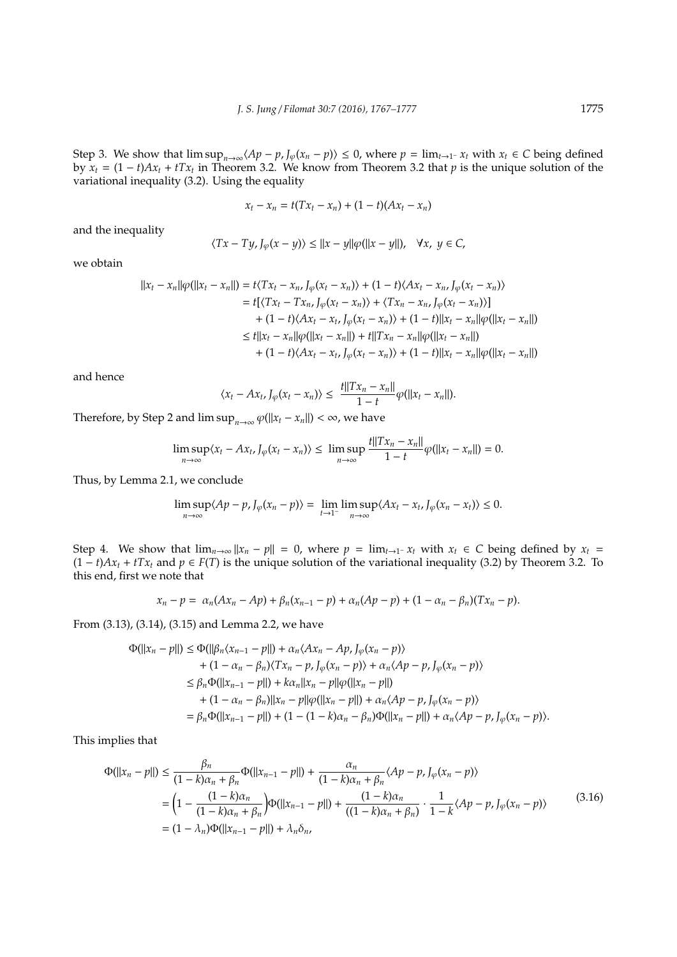Step 3. We show that  $\limsup_{n\to\infty}\langle Ap - p, J_{\varphi}(x_n - p)\rangle \le 0$ , where  $p = \lim_{t\to 1^-} x_t$  with  $x_t \in C$  being defined by  $x_t = (1 - t)Ax_t + tTx_t$  in Theorem 3.2. We know from Theorem 3.2 that *p* is the unique solution of the variational inequality (3.2). Using the equality

$$
x_t - x_n = t(Tx_t - x_n) + (1 - t)(Ax_t - x_n)
$$

and the inequality

$$
\langle Tx - Ty, J_{\varphi}(x - y) \rangle \le ||x - y||\varphi(||x - y||), \quad \forall x, y \in C,
$$

we obtain

$$
||x_t - x_n||\varphi(||x_t - x_n||) = t\langle Tx_t - x_n, J_\varphi(x_t - x_n) \rangle + (1 - t)\langle Ax_t - x_n, J_\varphi(x_t - x_n) \rangle
$$
  
\n
$$
= t[\langle Tx_t - Tx_n, J_\varphi(x_t - x_n) \rangle + \langle Tx_n - x_n, J_\varphi(x_t - x_n) \rangle]
$$
  
\n
$$
+ (1 - t)\langle Ax_t - x_t, J_\varphi(x_t - x_n) \rangle + (1 - t)||x_t - x_n||\varphi(||x_t - x_n||)
$$
  
\n
$$
\le t||x_t - x_n||\varphi(||x_t - x_n||) + t||Tx_n - x_n||\varphi(||x_t - x_n||)
$$
  
\n
$$
+ (1 - t)\langle Ax_t - x_t, J_\varphi(x_t - x_n) \rangle + (1 - t)||x_t - x_n||\varphi(||x_t - x_n||)
$$

and hence

$$
\langle x_t - Ax_t, J_\varphi(x_t - x_n) \rangle \le \frac{t ||Tx_n - x_n||}{1 - t} \varphi(||x_t - x_n||).
$$

Therefore, by Step 2 and  $\limsup_{n\to\infty} \varphi(||x_t - x_n||) < \infty$ , we have

$$
\limsup_{n\to\infty}\langle x_t - Ax_t, J_\varphi(x_t - x_n)\rangle \leq \limsup_{n\to\infty}\frac{t||Tx_n - x_n||}{1 - t}\varphi(||x_t - x_n||) = 0.
$$

Thus, by Lemma 2.1, we conclude

$$
\limsup_{n\to\infty}\langle Ap-p, J_{\varphi}(x_n-p)\rangle = \lim_{t\to 1^-}\limsup_{n\to\infty}\langle Ax_t-x_t, J_{\varphi}(x_n-x_t)\rangle \leq 0.
$$

Step 4. We show that  $\lim_{n\to\infty} ||x_n - p|| = 0$ , where  $p = \lim_{t\to 1^-} x_t$  with  $x_t \in C$  being defined by  $x_t =$  $(1 - t)Ax_t + tTx_t$  and *p* ∈ *F*(*T*) is the unique solution of the variational inequality (3.2) by Theorem 3.2. To this end, first we note that

$$
x_n-p=\alpha_n(Ax_n-Ap)+\beta_n(x_{n-1}-p)+\alpha_n(Ap-p)+(1-\alpha_n-\beta_n)(Tx_n-p).
$$

From (3.13), (3.14), (3.15) and Lemma 2.2, we have

$$
\Phi(||x_n - p||) \le \Phi(||\beta_n \langle x_{n-1} - p||) + \alpha_n \langle Ax_n - Ap, J_\varphi(x_n - p) \rangle \n+ (1 - \alpha_n - \beta_n) \langle Tx_n - p, J_\varphi(x_n - p) \rangle + \alpha_n \langle Ap - p, J_\varphi(x_n - p) \rangle \n\le \beta_n \Phi(||x_{n-1} - p||) + k\alpha_n ||x_n - p||\varphi(||x_n - p||) \n+ (1 - \alpha_n - \beta_n) ||x_n - p||\varphi(||x_n - p||) + \alpha_n \langle Ap - p, J_\varphi(x_n - p) \rangle \n= \beta_n \Phi(||x_{n-1} - p||) + (1 - (1 - k)\alpha_n - \beta_n) \Phi(||x_n - p||) + \alpha_n \langle Ap - p, J_\varphi(x_n - p) \rangle.
$$

This implies that

$$
\Phi(||x_n - p||) \le \frac{\beta_n}{(1 - k)\alpha_n + \beta_n} \Phi(||x_{n-1} - p||) + \frac{\alpha_n}{(1 - k)\alpha_n + \beta_n} \langle Ap - p, J_{\varphi}(x_n - p) \rangle
$$
  
=  $\left(1 - \frac{(1 - k)\alpha_n}{(1 - k)\alpha_n + \beta_n}\right) \Phi(||x_{n-1} - p||) + \frac{(1 - k)\alpha_n}{((1 - k)\alpha_n + \beta_n)} \cdot \frac{1}{1 - k} \langle Ap - p, J_{\varphi}(x_n - p) \rangle$  (3.16)  
=  $(1 - \lambda_n) \Phi(||x_{n-1} - p||) + \lambda_n \delta_n$ ,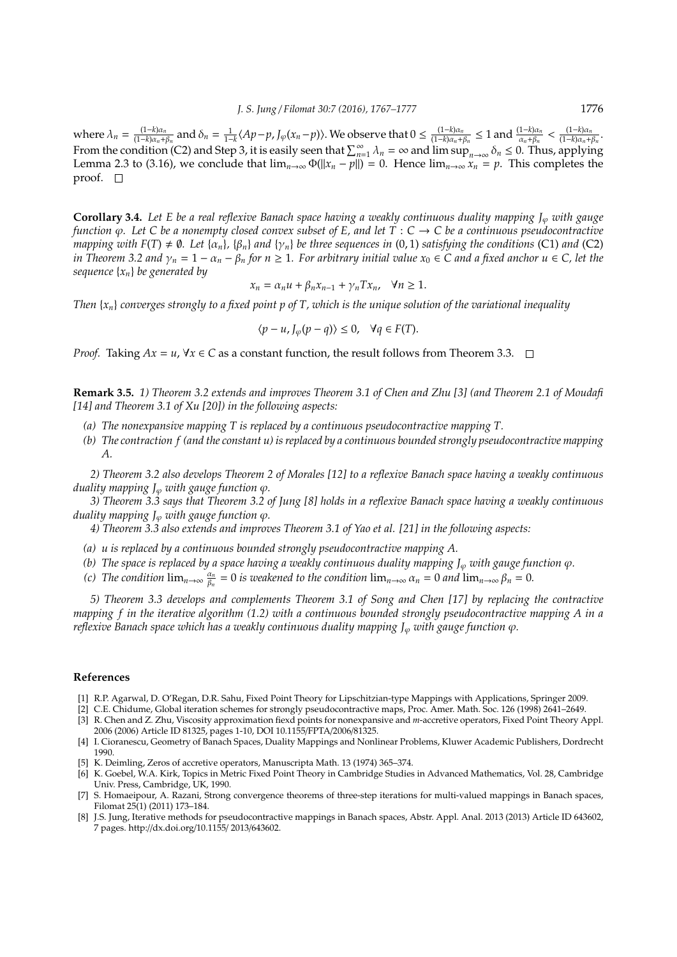where  $\lambda_n = \frac{(1-k)\alpha_n}{(1-k)\alpha_{n+1}}$  $\frac{(1-k)\alpha_n}{(1-k)\alpha_n+\beta_n}$  and  $\delta_n = \frac{1}{1-k} \langle Ap-p, J_\varphi(x_n-p) \rangle$ . We observe that  $0 \le \frac{(1-k)\alpha_n}{(1-k)\alpha_n+\beta_n}$  $\frac{(1-k)\alpha_n}{(1-k)\alpha_n+\beta_n}$  ≤ 1 and  $\frac{(1-k)\alpha_n}{\alpha_n+\beta_n}$  <  $\frac{(1-k)\alpha_n}{(1-k)\alpha_n+1}$  $\frac{(1-k)a_n}{(1-k)\alpha_n+\beta_n}$ From the condition (C2) and Step 3, it is easily seen that  $\sum_{n=1}^{\infty} \lambda_n = \infty$  and  $\limsup_{n\to\infty} \delta_n \leq 0$ . Thus, applying Lemma 2.3 to (3.16), we conclude that  $\lim_{n\to\infty} \Phi(||x_n - p||) = 0$ . Hence  $\lim_{n\to\infty} x_n = p$ . This completes the proof.  $\square$ 

**Corollary 3.4.** *Let E be a real reflexive Banach space having a weakly continuous duality mapping J<sub>* $\varphi$ *</sub> with gauge function*  $\varphi$ . Let C be a nonempty closed convex subset of E, and let T : C  $\rightarrow$  C be a continuous pseudocontractive *mapping with*  $F(T) \neq \emptyset$ . Let  $\{\alpha_n\}$ ,  $\{\beta_n\}$  *and*  $\{\gamma_n\}$  *be three sequences in* (0, 1) *satisfying the conditions* (C1) *and* (C2) *in Theorem 3.2 and*  $\gamma_n = 1 - \alpha_n - \beta_n$  *for*  $n \ge 1$ *. For arbitrary initial value*  $x_0 \in C$  *and a fixed anchor*  $u \in C$ *, let the sequence* {*xn*} *be generated by*

$$
x_n = \alpha_n u + \beta_n x_{n-1} + \gamma_n T x_n, \quad \forall n \ge 1.
$$

*Then*  $\{x_n\}$  *converges strongly to a fixed point p of T, which is the unique solution of the variational inequality* 

$$
\langle p - u, J_{\varphi}(p - q) \rangle \le 0, \quad \forall q \in F(T).
$$

*Proof.* Taking  $Ax = u$ ,  $\forall x \in C$  as a constant function, the result follows from Theorem 3.3.  $\Box$ 

**Remark 3.5.** *1) Theorem 3.2 extends and improves Theorem 3.1 of Chen and Zhu [3] (and Theorem 2.1 of Moudafi [14] and Theorem 3.1 of Xu [20]) in the following aspects:*

- *(a) The nonexpansive mapping T is replaced by a continuous pseudocontractive mapping T.*
- *(b) The contraction f (and the constant u) is replaced by a continuous bounded strongly pseudocontractive mapping A.*

*2) Theorem 3.2 also develops Theorem 2 of Morales [12] to a reflexive Banach space having a weakly continuous duality mapping*  $J_{\varphi}$  *with gauge function*  $\varphi$ *.* 

*3) Theorem 3.3 says that Theorem 3.2 of Jung [8] holds in a reflexive Banach space having a weakly continuous duality mapping*  $J_{\varphi}$  *with gauge function*  $\varphi$ *.* 

*4) Theorem 3.3 also extends and improves Theorem 3.1 of Yao et al. [21] in the following aspects:*

- *(a) u is replaced by a continuous bounded strongly pseudocontractive mapping A.*
- *(b)* The space is replaced by a space having a weakly continuous duality mapping  $J_{\varphi}$  with gauge function  $\varphi$ .

*(c)* The condition  $\lim_{n\to\infty} \frac{\alpha_n}{\beta_n}$  $\frac{a_n}{\beta_n} = 0$  *is weakened to the condition*  $\lim_{n\to\infty} \alpha_n = 0$  *and*  $\lim_{n\to\infty} \beta_n = 0$ *.* 

*5) Theorem 3.3 develops and complements Theorem 3.1 of Song and Chen [17] by replacing the contractive mapping f in the iterative algorithm (1.2) with a continuous bounded strongly pseudocontractive mapping A in a reflexive Banach space which has a weakly continuous duality mapping*  $J_{\varphi}$  *with gauge function*  $\varphi$ *.* 

#### **References**

- [1] R.P. Agarwal, D. O'Regan, D.R. Sahu, Fixed Point Theory for Lipschitzian-type Mappings with Applications, Springer 2009.
- [2] C.E. Chidume, Global iteration schemes for strongly pseudocontractive maps, Proc. Amer. Math. Soc. 126 (1998) 2641–2649. [3] R. Chen and Z. Zhu, Viscosity approximation fiexd points for nonexpansive and *m*-accretive operators, Fixed Point Theory Appl.
- 2006 (2006) Article ID 81325, pages 1-10, DOI 10.1155/FPTA/2006/81325.
- [4] I. Cioranescu, Geometry of Banach Spaces, Duality Mappings and Nonlinear Problems, Kluwer Academic Publishers, Dordrecht 1990.
- [5] K. Deimling, Zeros of accretive operators, Manuscripta Math. 13 (1974) 365–374.
- [6] K. Goebel, W.A. Kirk, Topics in Metric Fixed Point Theory in Cambridge Studies in Advanced Mathematics, Vol. 28, Cambridge Univ. Press, Cambridge, UK, 1990.
- [7] S. Homaeipour, A. Razani, Strong convergence theorems of three-step iterations for multi-valued mappings in Banach spaces, Filomat 25(1) (2011) 173–184.
- [8] J.S. Jung, Iterative methods for pseudocontractive mappings in Banach spaces, Abstr. Appl. Anal. 2013 (2013) Article ID 643602, 7 pages. http://dx.doi.org/10.1155/ 2013/643602.